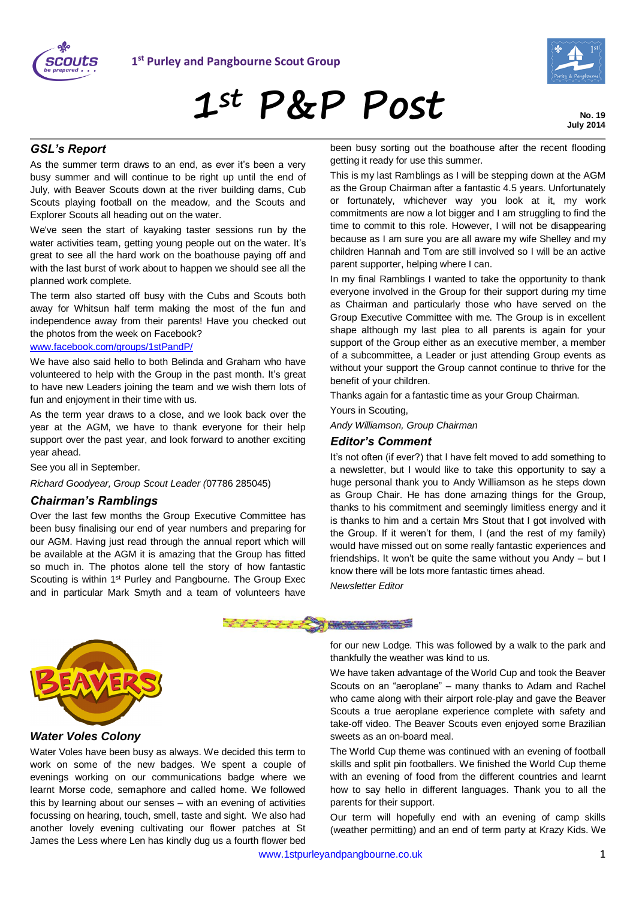



**1st P&P Post**

**No. 19 July 2014**

#### *GSL's Report*

As the summer term draws to an end, as ever it's been a very busy summer and will continue to be right up until the end of July, with Beaver Scouts down at the river building dams, Cub Scouts playing football on the meadow, and the Scouts and Explorer Scouts all heading out on the water.

We've seen the start of kayaking taster sessions run by the water activities team, getting young people out on the water. It's great to see all the hard work on the boathouse paying off and with the last burst of work about to happen we should see all the planned work complete.

The term also started off busy with the Cubs and Scouts both away for Whitsun half term making the most of the fun and independence away from their parents! Have you checked out the photos from the week on Facebook?

#### [www.facebook.com/groups/1stPandP/](http://www.facebook.com/groups/1stPandP/)

We have also said hello to both Belinda and Graham who have volunteered to help with the Group in the past month. It's great to have new Leaders joining the team and we wish them lots of fun and enjoyment in their time with us.

As the term year draws to a close, and we look back over the year at the AGM, we have to thank everyone for their help support over the past year, and look forward to another exciting year ahead.

See you all in September.

*Richard Goodyear, Group Scout Leader (*07786 285045)

#### *Chairman's Ramblings*

Over the last few months the Group Executive Committee has been busy finalising our end of year numbers and preparing for our AGM. Having just read through the annual report which will be available at the AGM it is amazing that the Group has fitted so much in. The photos alone tell the story of how fantastic Scouting is within 1<sup>st</sup> Purley and Pangbourne. The Group Exec and in particular Mark Smyth and a team of volunteers have been busy sorting out the boathouse after the recent flooding getting it ready for use this summer.

This is my last Ramblings as I will be stepping down at the AGM as the Group Chairman after a fantastic 4.5 years. Unfortunately or fortunately, whichever way you look at it, my work commitments are now a lot bigger and I am struggling to find the time to commit to this role. However, I will not be disappearing because as I am sure you are all aware my wife Shelley and my children Hannah and Tom are still involved so I will be an active parent supporter, helping where I can.

In my final Ramblings I wanted to take the opportunity to thank everyone involved in the Group for their support during my time as Chairman and particularly those who have served on the Group Executive Committee with me. The Group is in excellent shape although my last plea to all parents is again for your support of the Group either as an executive member, a member of a subcommittee, a Leader or just attending Group events as without your support the Group cannot continue to thrive for the benefit of your children.

Thanks again for a fantastic time as your Group Chairman.

Yours in Scouting,

*Andy Williamson, Group Chairman*

#### *Editor's Comment*

It's not often (if ever?) that I have felt moved to add something to a newsletter, but I would like to take this opportunity to say a huge personal thank you to Andy Williamson as he steps down as Group Chair. He has done amazing things for the Group, thanks to his commitment and seemingly limitless energy and it is thanks to him and a certain Mrs Stout that I got involved with the Group. If it weren't for them, I (and the rest of my family) would have missed out on some really fantastic experiences and friendships. It won't be quite the same without you Andy – but I know there will be lots more fantastic times ahead.

*Newsletter Editor*





*Water Voles Colony*

Water Voles have been busy as always. We decided this term to work on some of the new badges. We spent a couple of evenings working on our communications badge where we learnt Morse code, semaphore and called home. We followed this by learning about our senses – with an evening of activities focussing on hearing, touch, smell, taste and sight. We also had another lovely evening cultivating our flower patches at St James the Less where Len has kindly dug us a fourth flower bed for our new Lodge. This was followed by a walk to the park and thankfully the weather was kind to us.

We have taken advantage of the World Cup and took the Beaver Scouts on an "aeroplane" – many thanks to Adam and Rachel who came along with their airport role-play and gave the Beaver Scouts a true aeroplane experience complete with safety and take-off video. The Beaver Scouts even enjoyed some Brazilian sweets as an on-board meal.

The World Cup theme was continued with an evening of football skills and split pin footballers. We finished the World Cup theme with an evening of food from the different countries and learnt how to say hello in different languages. Thank you to all the parents for their support.

Our term will hopefully end with an evening of camp skills (weather permitting) and an end of term party at Krazy Kids. We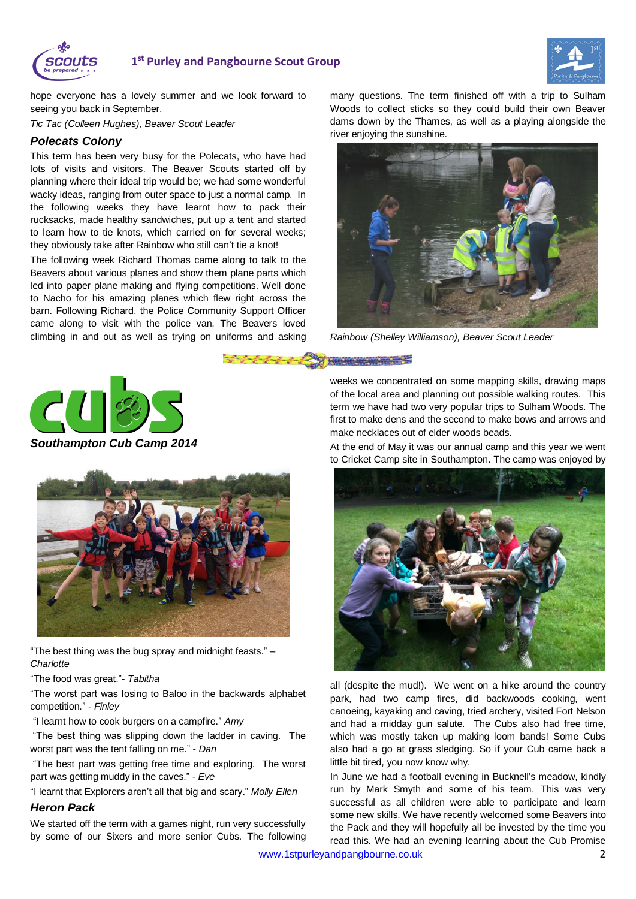



hope everyone has a lovely summer and we look forward to seeing you back in September.

*Tic Tac (Colleen Hughes), Beaver Scout Leader*

#### *Polecats Colony*

This term has been very busy for the Polecats, who have had lots of visits and visitors. The Beaver Scouts started off by planning where their ideal trip would be; we had some wonderful wacky ideas, ranging from outer space to just a normal camp. In the following weeks they have learnt how to pack their rucksacks, made healthy sandwiches, put up a tent and started to learn how to tie knots, which carried on for several weeks; they obviously take after Rainbow who still can't tie a knot!

The following week Richard Thomas came along to talk to the Beavers about various planes and show them plane parts which led into paper plane making and flying competitions. Well done to Nacho for his amazing planes which flew right across the barn. Following Richard, the Police Community Support Officer came along to visit with the police van. The Beavers loved climbing in and out as well as trying on uniforms and asking

many questions. The term finished off with a trip to Sulham Woods to collect sticks so they could build their own Beaver dams down by the Thames, as well as a playing alongside the river enjoying the sunshine.



*Rainbow (Shelley Williamson), Beaver Scout Leader*

<u>1989 - Johann Starten, amerikansk politik (</u>



*Southampton Cub Camp 2014*



"The best thing was the bug spray and midnight feasts." – *Charlotte*

"The food was great."- *Tabitha*

"The worst part was losing to Baloo in the backwards alphabet competition." - *Finley*

"I learnt how to cook burgers on a campfire." *Amy*

"The best thing was slipping down the ladder in caving. The worst part was the tent falling on me." - *Dan*

"The best part was getting free time and exploring. The worst part was getting muddy in the caves." - *Eve*

"I learnt that Explorers aren't all that big and scary." *Molly Ellen*

#### *Heron Pack*

We started off the term with a games night, run very successfully by some of our Sixers and more senior Cubs. The following

weeks we concentrated on some mapping skills, drawing maps of the local area and planning out possible walking routes. This term we have had two very popular trips to Sulham Woods. The first to make dens and the second to make bows and arrows and make necklaces out of elder woods beads.

At the end of May it was our annual camp and this year we went to Cricket Camp site in Southampton. The camp was enjoyed by



all (despite the mud!). We went on a hike around the country park, had two camp fires, did backwoods cooking, went canoeing, kayaking and caving, tried archery, visited Fort Nelson and had a midday gun salute. The Cubs also had free time, which was mostly taken up making loom bands! Some Cubs also had a go at grass sledging. So if your Cub came back a little bit tired, you now know why.

In June we had a football evening in Bucknell's meadow, kindly run by Mark Smyth and some of his team. This was very successful as all children were able to participate and learn some new skills. We have recently welcomed some Beavers into the Pack and they will hopefully all be invested by the time you read this. We had an evening learning about the Cub Promise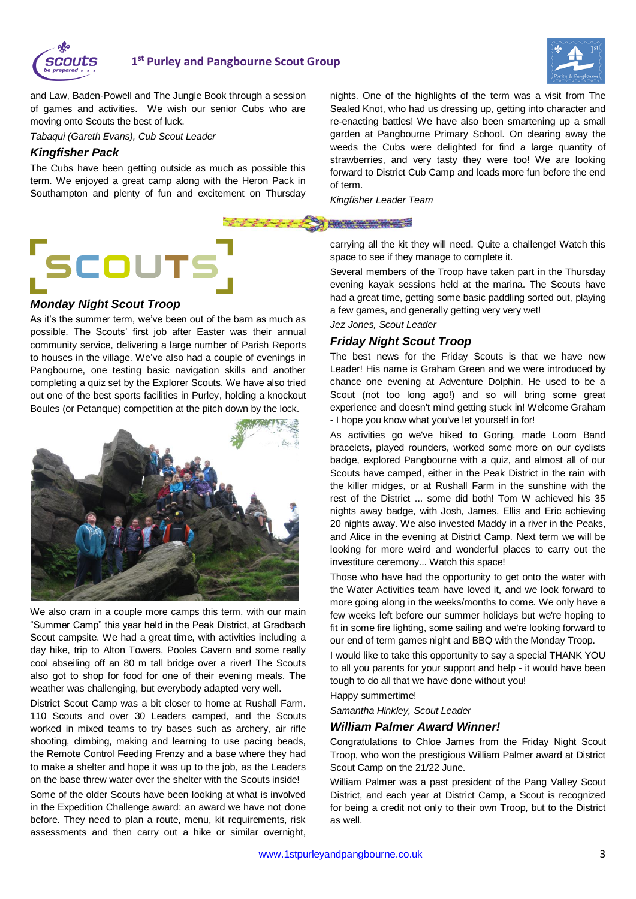



and Law, Baden-Powell and The Jungle Book through a session of games and activities. We wish our senior Cubs who are moving onto Scouts the best of luck.

*Tabaqui (Gareth Evans), Cub Scout Leader*

#### *Kingfisher Pack*

The Cubs have been getting outside as much as possible this term. We enjoyed a great camp along with the Heron Pack in Southampton and plenty of fun and excitement on Thursday

# **SCOUTS**

#### *Monday Night Scout Troop*

As it's the summer term, we've been out of the barn as much as possible. The Scouts' first job after Easter was their annual community service, delivering a large number of Parish Reports to houses in the village. We've also had a couple of evenings in Pangbourne, one testing basic navigation skills and another completing a quiz set by the Explorer Scouts. We have also tried out one of the best sports facilities in Purley, holding a knockout Boules (or Petanque) competition at the pitch down by the lock.



We also cram in a couple more camps this term, with our main "Summer Camp" this year held in the Peak District, at Gradbach Scout campsite. We had a great time, with activities including a day hike, trip to Alton Towers, Pooles Cavern and some really cool abseiling off an 80 m tall bridge over a river! The Scouts also got to shop for food for one of their evening meals. The weather was challenging, but everybody adapted very well.

District Scout Camp was a bit closer to home at Rushall Farm. 110 Scouts and over 30 Leaders camped, and the Scouts worked in mixed teams to try bases such as archery, air rifle shooting, climbing, making and learning to use pacing beads, the Remote Control Feeding Frenzy and a base where they had to make a shelter and hope it was up to the job, as the Leaders on the base threw water over the shelter with the Scouts inside!

Some of the older Scouts have been looking at what is involved in the Expedition Challenge award; an award we have not done before. They need to plan a route, menu, kit requirements, risk assessments and then carry out a hike or similar overnight,

nights. One of the highlights of the term was a visit from The Sealed Knot, who had us dressing up, getting into character and re-enacting battles! We have also been smartening up a small garden at Pangbourne Primary School. On clearing away the weeds the Cubs were delighted for find a large quantity of strawberries, and very tasty they were too! We are looking forward to District Cub Camp and loads more fun before the end of term.

*Kingfisher Leader Team*

<u> Alexander Alexander (h. 1888)</u>

carrying all the kit they will need. Quite a challenge! Watch this space to see if they manage to complete it.

Several members of the Troop have taken part in the Thursday evening kayak sessions held at the marina. The Scouts have had a great time, getting some basic paddling sorted out, playing a few games, and generally getting very very wet!

*Jez Jones, Scout Leader*

#### *Friday Night Scout Troop*

The best news for the Friday Scouts is that we have new Leader! His name is Graham Green and we were introduced by chance one evening at Adventure Dolphin. He used to be a Scout (not too long ago!) and so will bring some great experience and doesn't mind getting stuck in! Welcome Graham - I hope you know what you've let yourself in for!

As activities go we've hiked to Goring, made Loom Band bracelets, played rounders, worked some more on our cyclists badge, explored Pangbourne with a quiz, and almost all of our Scouts have camped, either in the Peak District in the rain with the killer midges, or at Rushall Farm in the sunshine with the rest of the District ... some did both! Tom W achieved his 35 nights away badge, with Josh, James, Ellis and Eric achieving 20 nights away. We also invested Maddy in a river in the Peaks, and Alice in the evening at District Camp. Next term we will be looking for more weird and wonderful places to carry out the investiture ceremony... Watch this space!

Those who have had the opportunity to get onto the water with the Water Activities team have loved it, and we look forward to more going along in the weeks/months to come. We only have a few weeks left before our summer holidays but we're hoping to fit in some fire lighting, some sailing and we're looking forward to our end of term games night and BBQ with the Monday Troop.

I would like to take this opportunity to say a special THANK YOU to all you parents for your support and help - it would have been tough to do all that we have done without you!

Happy summertime!

*Samantha Hinkley, Scout Leader*

#### *William Palmer Award Winner!*

Congratulations to Chloe James from the Friday Night Scout Troop, who won the prestigious William Palmer award at District Scout Camp on the 21/22 June.

William Palmer was a past president of the Pang Valley Scout District, and each year at District Camp, a Scout is recognized for being a credit not only to their own Troop, but to the District as well.